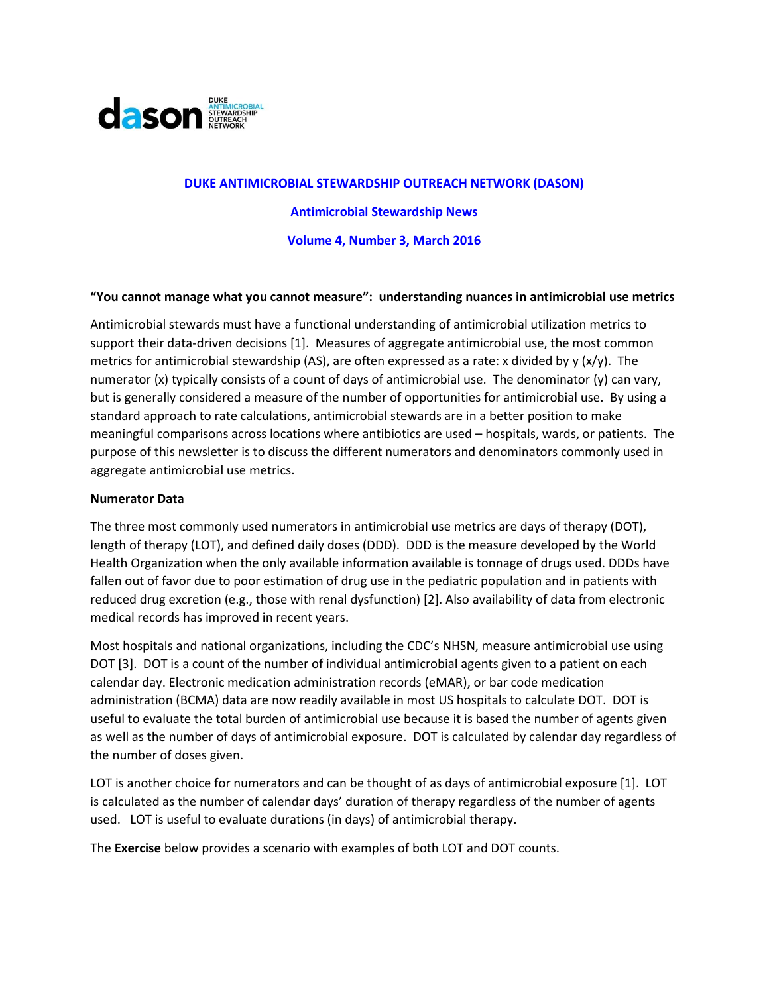

# **DUKE ANTIMICROBIAL STEWARDSHIP OUTREACH NETWORK (DASON) Antimicrobial Stewardship News Volume 4, Number 3, March 2016**

#### **"You cannot manage what you cannot measure": understanding nuances in antimicrobial use metrics**

Antimicrobial stewards must have a functional understanding of antimicrobial utilization metrics to support their data-driven decisions [\[1\]](#page-4-0). Measures of aggregate antimicrobial use, the most common metrics for antimicrobial stewardship (AS), are often expressed as a rate: x divided by y  $(x/y)$ . The numerator (x) typically consists of a count of days of antimicrobial use. The denominator (y) can vary, but is generally considered a measure of the number of opportunities for antimicrobial use. By using a standard approach to rate calculations, antimicrobial stewards are in a better position to make meaningful comparisons across locations where antibiotics are used – hospitals, wards, or patients. The purpose of this newsletter is to discuss the different numerators and denominators commonly used in aggregate antimicrobial use metrics.

#### **Numerator Data**

The three most commonly used numerators in antimicrobial use metrics are days of therapy (DOT), length of therapy (LOT), and defined daily doses (DDD). DDD is the measure developed by the World Health Organization when the only available information available is tonnage of drugs used. DDDs have fallen out of favor due to poor estimation of drug use in the pediatric population and in patients with reduced drug excretion (e.g., those with renal dysfunction) [\[2\]](#page-4-1). Also availability of data from electronic medical records has improved in recent years.

Most hospitals and national organizations, including the CDC's NHSN, measure antimicrobial use using DOT [\[3\]](#page-4-2). DOT is a count of the number of individual antimicrobial agents given to a patient on each calendar day. Electronic medication administration records (eMAR), or bar code medication administration (BCMA) data are now readily available in most US hospitals to calculate DOT. DOT is useful to evaluate the total burden of antimicrobial use because it is based the number of agents given as well as the number of days of antimicrobial exposure. DOT is calculated by calendar day regardless of the number of doses given.

LOT is another choice for numerators and can be thought of as days of antimicrobial exposure [\[1\]](#page-4-0). LOT is calculated as the number of calendar days' duration of therapy regardless of the number of agents used. LOT is useful to evaluate durations (in days) of antimicrobial therapy.

The **Exercise** below provides a scenario with examples of both LOT and DOT counts.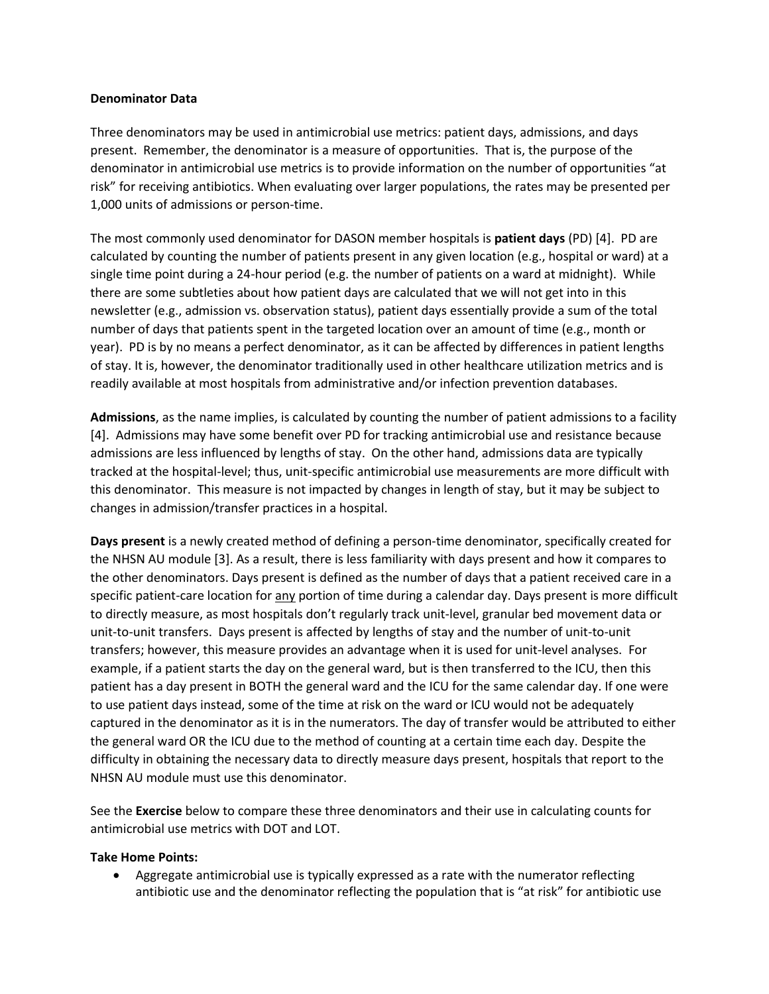### **Denominator Data**

Three denominators may be used in antimicrobial use metrics: patient days, admissions, and days present. Remember, the denominator is a measure of opportunities. That is, the purpose of the denominator in antimicrobial use metrics is to provide information on the number of opportunities "at risk" for receiving antibiotics. When evaluating over larger populations, the rates may be presented per 1,000 units of admissions or person-time.

The most commonly used denominator for DASON member hospitals is **patient days** (PD) [\[4\]](#page-4-3). PD are calculated by counting the number of patients present in any given location (e.g., hospital or ward) at a single time point during a 24-hour period (e.g. the number of patients on a ward at midnight). While there are some subtleties about how patient days are calculated that we will not get into in this newsletter (e.g., admission vs. observation status), patient days essentially provide a sum of the total number of days that patients spent in the targeted location over an amount of time (e.g., month or year). PD is by no means a perfect denominator, as it can be affected by differences in patient lengths of stay. It is, however, the denominator traditionally used in other healthcare utilization metrics and is readily available at most hospitals from administrative and/or infection prevention databases.

**Admissions**, as the name implies, is calculated by counting the number of patient admissions to a facility [\[4\]](#page-4-3). Admissions may have some benefit over PD for tracking antimicrobial use and resistance because admissions are less influenced by lengths of stay. On the other hand, admissions data are typically tracked at the hospital-level; thus, unit-specific antimicrobial use measurements are more difficult with this denominator. This measure is not impacted by changes in length of stay, but it may be subject to changes in admission/transfer practices in a hospital.

**Days present** is a newly created method of defining a person-time denominator, specifically created for the NHSN AU module [\[3\]](#page-4-2). As a result, there is less familiarity with days present and how it compares to the other denominators. Days present is defined as the number of days that a patient received care in a specific patient-care location for any portion of time during a calendar day. Days present is more difficult to directly measure, as most hospitals don't regularly track unit-level, granular bed movement data or unit-to-unit transfers. Days present is affected by lengths of stay and the number of unit-to-unit transfers; however, this measure provides an advantage when it is used for unit-level analyses. For example, if a patient starts the day on the general ward, but is then transferred to the ICU, then this patient has a day present in BOTH the general ward and the ICU for the same calendar day. If one were to use patient days instead, some of the time at risk on the ward or ICU would not be adequately captured in the denominator as it is in the numerators. The day of transfer would be attributed to either the general ward OR the ICU due to the method of counting at a certain time each day. Despite the difficulty in obtaining the necessary data to directly measure days present, hospitals that report to the NHSN AU module must use this denominator.

See the **Exercise** below to compare these three denominators and their use in calculating counts for antimicrobial use metrics with DOT and LOT.

## **Take Home Points:**

 Aggregate antimicrobial use is typically expressed as a rate with the numerator reflecting antibiotic use and the denominator reflecting the population that is "at risk" for antibiotic use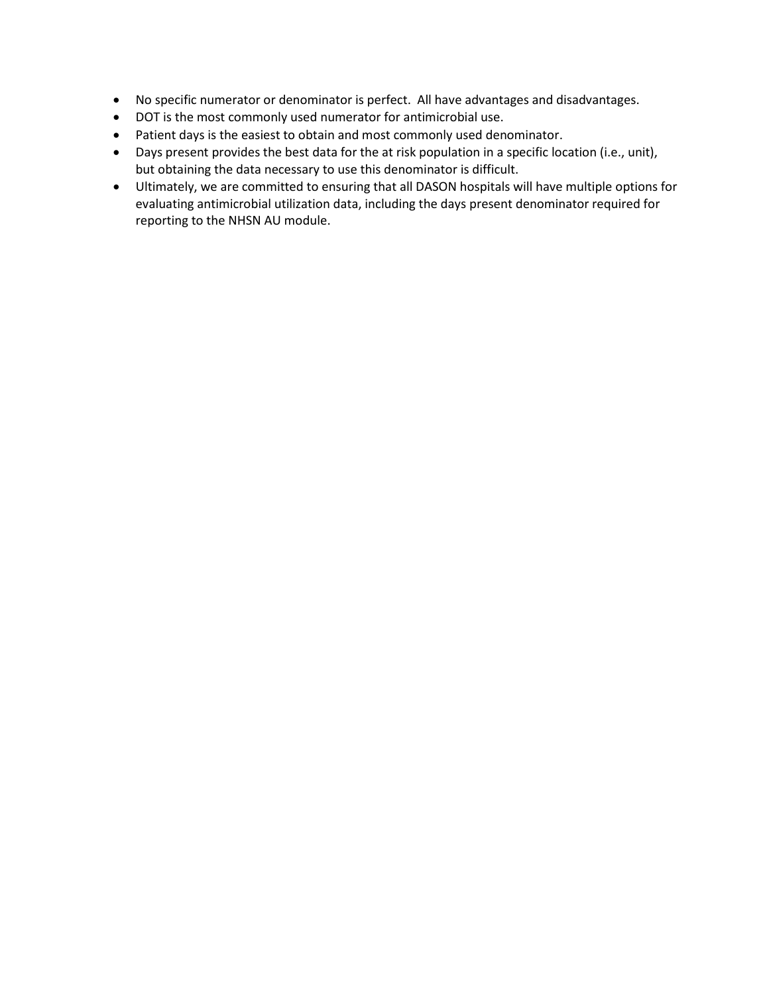- No specific numerator or denominator is perfect. All have advantages and disadvantages.
- DOT is the most commonly used numerator for antimicrobial use.
- Patient days is the easiest to obtain and most commonly used denominator.
- Days present provides the best data for the at risk population in a specific location (i.e., unit), but obtaining the data necessary to use this denominator is difficult.
- Ultimately, we are committed to ensuring that all DASON hospitals will have multiple options for evaluating antimicrobial utilization data, including the days present denominator required for reporting to the NHSN AU module.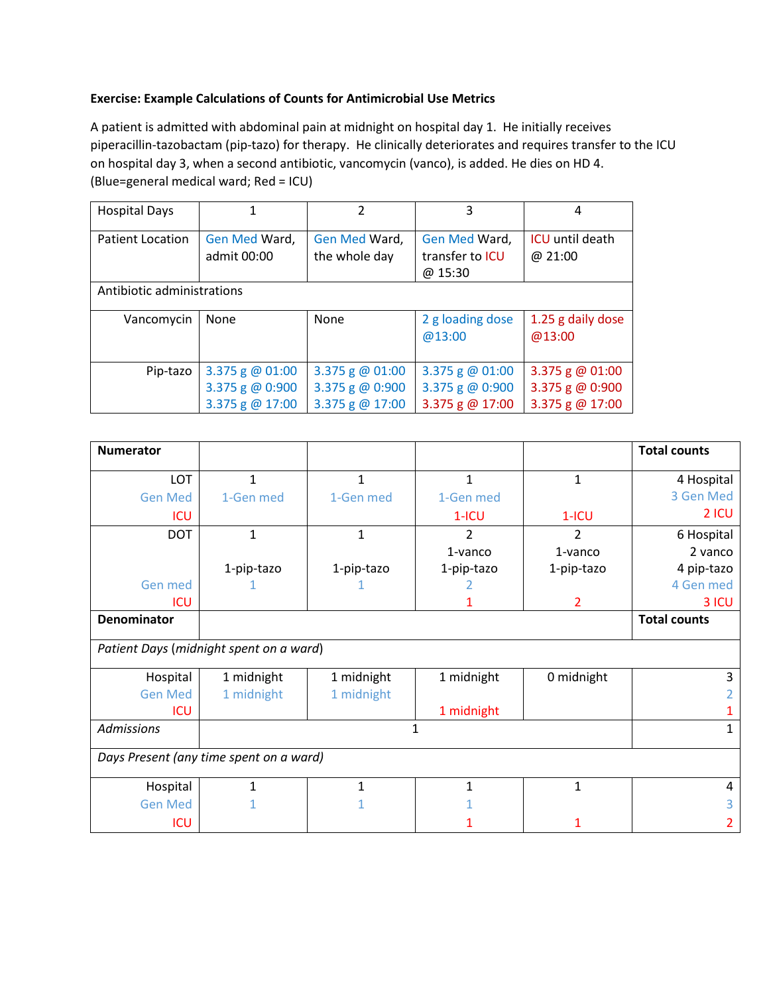# **Exercise: Example Calculations of Counts for Antimicrobial Use Metrics**

A patient is admitted with abdominal pain at midnight on hospital day 1. He initially receives piperacillin-tazobactam (pip-tazo) for therapy. He clinically deteriorates and requires transfer to the ICU on hospital day 3, when a second antibiotic, vancomycin (vanco), is added. He dies on HD 4. (Blue=general medical ward; Red = ICU)

| <b>Hospital Days</b>       |                              | 2                              | 3                                                  | 4                                 |  |  |
|----------------------------|------------------------------|--------------------------------|----------------------------------------------------|-----------------------------------|--|--|
| <b>Patient Location</b>    | Gen Med Ward,<br>admit 00:00 | Gen Med Ward,<br>the whole day | Gen Med Ward,<br>transfer to <b>ICU</b><br>@ 15:30 | <b>ICU</b> until death<br>@ 21:00 |  |  |
| Antibiotic administrations |                              |                                |                                                    |                                   |  |  |
| Vancomycin                 | None                         | None                           | 2 g loading dose<br>@13:00                         | 1.25 g daily dose<br>@13:00       |  |  |
| Pip-tazo                   | 3.375 g @ 01:00              | 3.375 g $@01:00$               | 3.375 g $@01:00$                                   | 3.375 g $@01:00$                  |  |  |
|                            | 3.375 g $@0:900$             | 3.375 g $@0:900$               | 3.375 g $@0:900$                                   | 3.375 g @ 0:900                   |  |  |
|                            | 3.375 g @ 17:00              | 3.375 g $@17:00$               | 3.375 g @ 17:00                                    | 3.375 g @ 17:00                   |  |  |

| <b>Numerator</b>                        |              |            |            |                | <b>Total counts</b> |  |  |
|-----------------------------------------|--------------|------------|------------|----------------|---------------------|--|--|
| LOT                                     | 1            | 1          | 1          | 1              | 4 Hospital          |  |  |
| <b>Gen Med</b>                          | 1-Gen med    | 1-Gen med  | 1-Gen med  |                | 3 Gen Med           |  |  |
| <b>ICU</b>                              |              |            | $1-ICU$    | $1-ICU$        | 2 ICU               |  |  |
| <b>DOT</b>                              | $\mathbf{1}$ | 1          | 2          | 2              | 6 Hospital          |  |  |
|                                         |              |            | $1$ -vanco | 1-vanco        | 2 vanco             |  |  |
|                                         | 1-pip-tazo   | 1-pip-tazo | 1-pip-tazo | 1-pip-tazo     | 4 pip-tazo          |  |  |
| Gen med                                 |              |            |            |                | 4 Gen med           |  |  |
| <b>ICU</b>                              |              |            |            | $\overline{2}$ | 3 ICU               |  |  |
| <b>Denominator</b>                      |              |            |            |                | <b>Total counts</b> |  |  |
| Patient Days (midnight spent on a ward) |              |            |            |                |                     |  |  |
| Hospital                                | 1 midnight   | 1 midnight | 1 midnight | 0 midnight     | 3                   |  |  |
| <b>Gen Med</b>                          | 1 midnight   | 1 midnight |            |                |                     |  |  |
| <b>ICU</b>                              |              |            | 1 midnight |                |                     |  |  |
| <b>Admissions</b>                       | 1            |            |            |                |                     |  |  |
| Days Present (any time spent on a ward) |              |            |            |                |                     |  |  |
| Hospital                                |              | 1          | 1          | 1              | 4                   |  |  |
| <b>Gen Med</b>                          |              |            |            |                |                     |  |  |
| ICU                                     |              |            |            |                |                     |  |  |